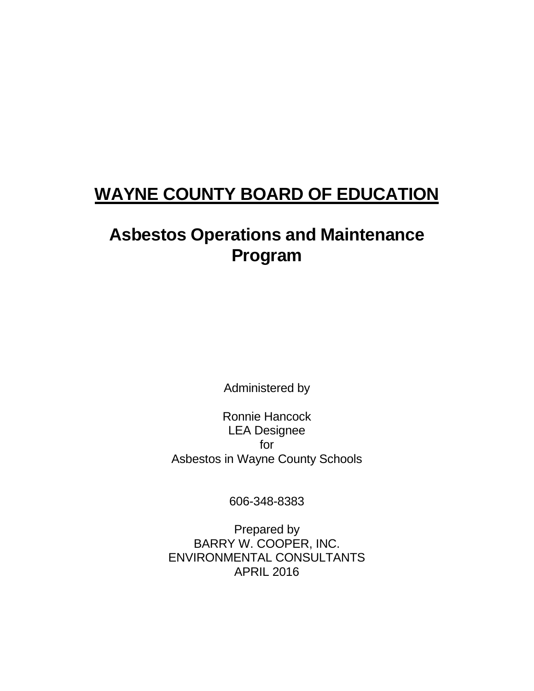# **WAYNE COUNTY BOARD OF EDUCATION**

# **Asbestos Operations and Maintenance Program**

Administered by

Ronnie Hancock LEA Designee for Asbestos in Wayne County Schools

606-348-8383

Prepared by BARRY W. COOPER, INC. ENVIRONMENTAL CONSULTANTS APRIL 2016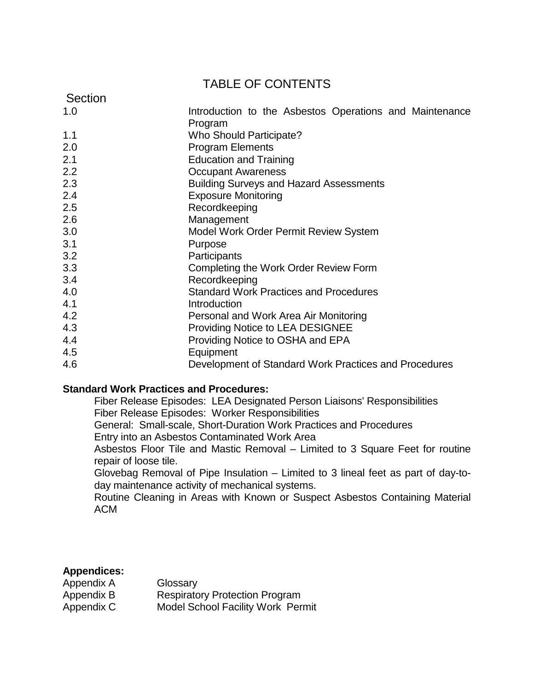## TABLE OF CONTENTS

| Section |                                                                    |
|---------|--------------------------------------------------------------------|
| 1.0     | Introduction to the Asbestos Operations and Maintenance<br>Program |
| 1.1     | <b>Who Should Participate?</b>                                     |
| 2.0     | <b>Program Elements</b>                                            |
| 2.1     | <b>Education and Training</b>                                      |
| 2.2     | <b>Occupant Awareness</b>                                          |
| 2.3     | <b>Building Surveys and Hazard Assessments</b>                     |
| 2.4     | <b>Exposure Monitoring</b>                                         |
| 2.5     | Recordkeeping                                                      |
| 2.6     | Management                                                         |
| 3.0     | <b>Model Work Order Permit Review System</b>                       |
| 3.1     | Purpose                                                            |
| 3.2     | Participants                                                       |
| 3.3     | Completing the Work Order Review Form                              |
| 3.4     | Recordkeeping                                                      |
| 4.0     | <b>Standard Work Practices and Procedures</b>                      |
| 4.1     | Introduction                                                       |
| 4.2     | Personal and Work Area Air Monitoring                              |
| 4.3     | <b>Providing Notice to LEA DESIGNEE</b>                            |
| 4.4     | Providing Notice to OSHA and EPA                                   |
| 4.5     | Equipment                                                          |
| 4.6     | Development of Standard Work Practices and Procedures              |

### **Standard Work Practices and Procedures:**

Fiber Release Episodes: LEA Designated Person Liaisons' Responsibilities Fiber Release Episodes: Worker Responsibilities

General: Small-scale, Short-Duration Work Practices and Procedures Entry into an Asbestos Contaminated Work Area

Asbestos Floor Tile and Mastic Removal – Limited to 3 Square Feet for routine repair of loose tile.

Glovebag Removal of Pipe Insulation – Limited to 3 lineal feet as part of day-today maintenance activity of mechanical systems.

Routine Cleaning in Areas with Known or Suspect Asbestos Containing Material ACM

## **Appendices:**

| Appendix A | Glossary                                 |
|------------|------------------------------------------|
| Appendix B | <b>Respiratory Protection Program</b>    |
| Appendix C | <b>Model School Facility Work Permit</b> |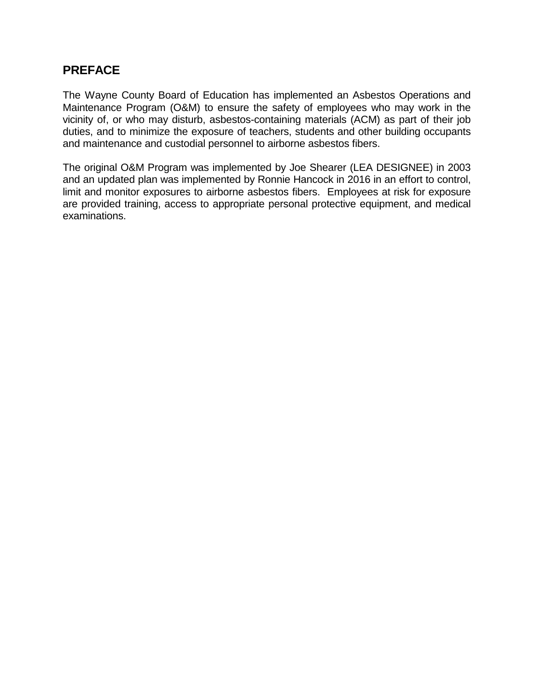## **PREFACE**

The Wayne County Board of Education has implemented an Asbestos Operations and Maintenance Program (O&M) to ensure the safety of employees who may work in the vicinity of, or who may disturb, asbestos-containing materials (ACM) as part of their job duties, and to minimize the exposure of teachers, students and other building occupants and maintenance and custodial personnel to airborne asbestos fibers.

The original O&M Program was implemented by Joe Shearer (LEA DESIGNEE) in 2003 and an updated plan was implemented by Ronnie Hancock in 2016 in an effort to control, limit and monitor exposures to airborne asbestos fibers. Employees at risk for exposure are provided training, access to appropriate personal protective equipment, and medical examinations.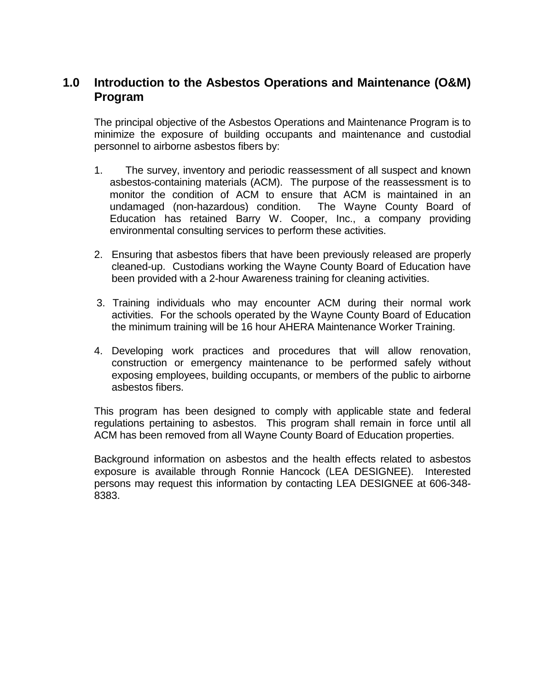## **1.0 Introduction to the Asbestos Operations and Maintenance (O&M) Program**

The principal objective of the Asbestos Operations and Maintenance Program is to minimize the exposure of building occupants and maintenance and custodial personnel to airborne asbestos fibers by:

- 1. The survey, inventory and periodic reassessment of all suspect and known asbestos-containing materials (ACM). The purpose of the reassessment is to monitor the condition of ACM to ensure that ACM is maintained in an undamaged (non-hazardous) condition. The Wayne County Board of Education has retained Barry W. Cooper, Inc., a company providing environmental consulting services to perform these activities.
- 2. Ensuring that asbestos fibers that have been previously released are properly cleaned-up. Custodians working the Wayne County Board of Education have been provided with a 2-hour Awareness training for cleaning activities.
- 3. Training individuals who may encounter ACM during their normal work activities. For the schools operated by the Wayne County Board of Education the minimum training will be 16 hour AHERA Maintenance Worker Training.
- 4. Developing work practices and procedures that will allow renovation, construction or emergency maintenance to be performed safely without exposing employees, building occupants, or members of the public to airborne asbestos fibers.

This program has been designed to comply with applicable state and federal regulations pertaining to asbestos. This program shall remain in force until all ACM has been removed from all Wayne County Board of Education properties.

Background information on asbestos and the health effects related to asbestos exposure is available through Ronnie Hancock (LEA DESIGNEE). Interested persons may request this information by contacting LEA DESIGNEE at 606-348- 8383.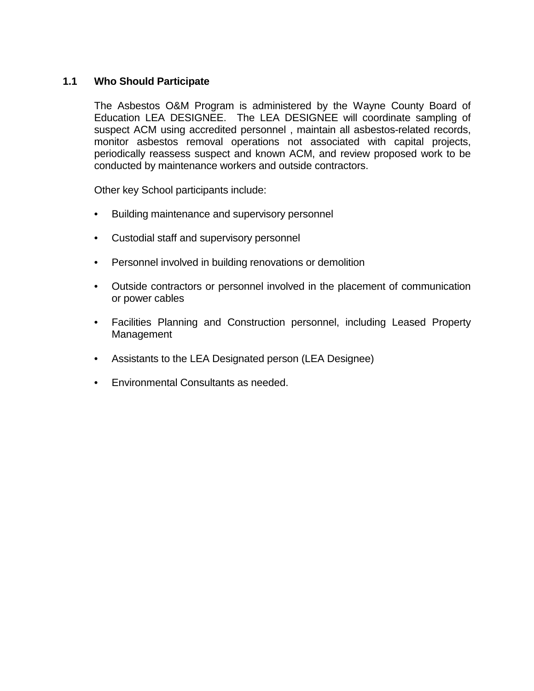### **1.1 Who Should Participate**

The Asbestos O&M Program is administered by the Wayne County Board of Education LEA DESIGNEE. The LEA DESIGNEE will coordinate sampling of suspect ACM using accredited personnel , maintain all asbestos-related records, monitor asbestos removal operations not associated with capital projects, periodically reassess suspect and known ACM, and review proposed work to be conducted by maintenance workers and outside contractors.

Other key School participants include:

- Building maintenance and supervisory personnel
- Custodial staff and supervisory personnel
- Personnel involved in building renovations or demolition
- Outside contractors or personnel involved in the placement of communication or power cables
- Facilities Planning and Construction personnel, including Leased Property Management
- Assistants to the LEA Designated person (LEA Designee)
- Environmental Consultants as needed.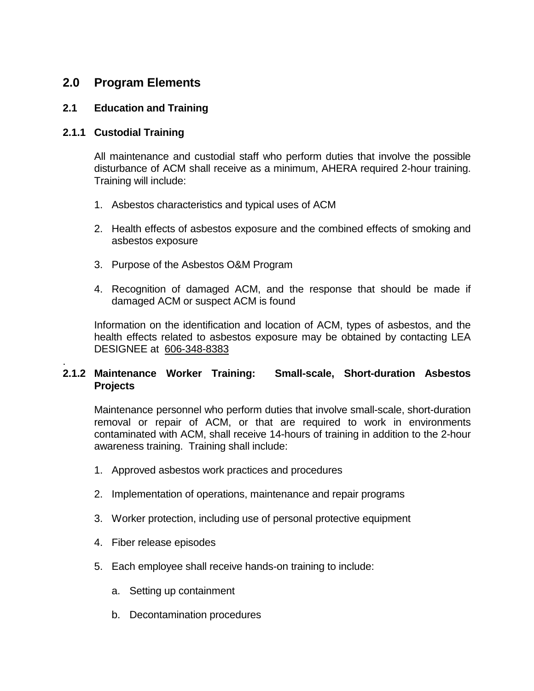## **2.0 Program Elements**

### **2.1 Education and Training**

### **2.1.1 Custodial Training**

All maintenance and custodial staff who perform duties that involve the possible disturbance of ACM shall receive as a minimum, AHERA required 2-hour training. Training will include:

- 1. Asbestos characteristics and typical uses of ACM
- 2. Health effects of asbestos exposure and the combined effects of smoking and asbestos exposure
- 3. Purpose of the Asbestos O&M Program
- 4. Recognition of damaged ACM, and the response that should be made if damaged ACM or suspect ACM is found

Information on the identification and location of ACM, types of asbestos, and the health effects related to asbestos exposure may be obtained by contacting LEA DESIGNEE at 606-348-8383

#### . **2.1.2 Maintenance Worker Training: Small-scale, Short-duration Asbestos Projects**

Maintenance personnel who perform duties that involve small-scale, short-duration removal or repair of ACM, or that are required to work in environments contaminated with ACM, shall receive 14-hours of training in addition to the 2-hour awareness training. Training shall include:

- 1. Approved asbestos work practices and procedures
- 2. Implementation of operations, maintenance and repair programs
- 3. Worker protection, including use of personal protective equipment
- 4. Fiber release episodes
- 5. Each employee shall receive hands-on training to include:
	- a. Setting up containment
	- b. Decontamination procedures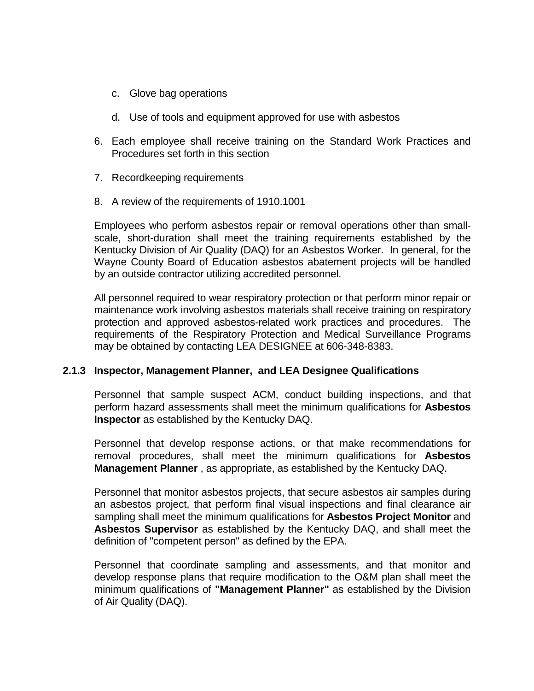- c. Glove bag operations
- d. Use of tools and equipment approved for use with asbestos
- 6. Each employee shall receive training on the Standard Work Practices and Procedures set forth in this section
- 7. Recordkeeping requirements
- 8. A review of the requirements of 1910.1001

Employees who perform asbestos repair or removal operations other than smallscale, short-duration shall meet the training requirements established by the Kentucky Division of Air Quality (DAQ) for an Asbestos Worker. In general, for the Wayne County Board of Education asbestos abatement projects will be handled by an outside contractor utilizing accredited personnel.

All personnel required to wear respiratory protection or that perform minor repair or maintenance work involving asbestos materials shall receive training on respiratory protection and approved asbestos-related work practices and procedures. The requirements of the Respiratory Protection and Medical Surveillance Programs may be obtained by contacting LEA DESIGNEE at 606-348-8383.

### **2.1.3 Inspector, Management Planner, and LEA Designee Qualifications**

Personnel that sample suspect ACM, conduct building inspections, and that perform hazard assessments shall meet the minimum qualifications for **Asbestos Inspector** as established by the Kentucky DAQ.

Personnel that develop response actions, or that make recommendations for removal procedures, shall meet the minimum qualifications for **Asbestos Management Planner** , as appropriate, as established by the Kentucky DAQ.

Personnel that monitor asbestos projects, that secure asbestos air samples during an asbestos project, that perform final visual inspections and final clearance air sampling shall meet the minimum qualifications for **Asbestos Project Monitor** and **Asbestos Supervisor** as established by the Kentucky DAQ, and shall meet the definition of "competent person" as defined by the EPA.

Personnel that coordinate sampling and assessments, and that monitor and develop response plans that require modification to the O&M plan shall meet the minimum qualifications of **"Management Planner"** as established by the Division of Air Quality (DAQ).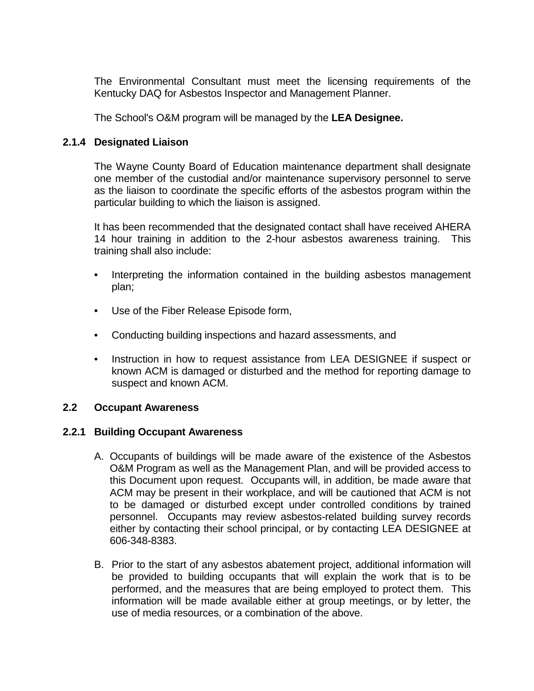The Environmental Consultant must meet the licensing requirements of the Kentucky DAQ for Asbestos Inspector and Management Planner.

The School's O&M program will be managed by the **LEA Designee.**

#### **2.1.4 Designated Liaison**

The Wayne County Board of Education maintenance department shall designate one member of the custodial and/or maintenance supervisory personnel to serve as the liaison to coordinate the specific efforts of the asbestos program within the particular building to which the liaison is assigned.

It has been recommended that the designated contact shall have received AHERA 14 hour training in addition to the 2-hour asbestos awareness training. This training shall also include:

- Interpreting the information contained in the building asbestos management plan;
- Use of the Fiber Release Episode form,
- Conducting building inspections and hazard assessments, and
- Instruction in how to request assistance from LEA DESIGNEE if suspect or known ACM is damaged or disturbed and the method for reporting damage to suspect and known ACM.

#### **2.2 Occupant Awareness**

#### **2.2.1 Building Occupant Awareness**

- A. Occupants of buildings will be made aware of the existence of the Asbestos O&M Program as well as the Management Plan, and will be provided access to this Document upon request. Occupants will, in addition, be made aware that ACM may be present in their workplace, and will be cautioned that ACM is not to be damaged or disturbed except under controlled conditions by trained personnel. Occupants may review asbestos-related building survey records either by contacting their school principal, or by contacting LEA DESIGNEE at 606-348-8383.
- B. Prior to the start of any asbestos abatement project, additional information will be provided to building occupants that will explain the work that is to be performed, and the measures that are being employed to protect them. This information will be made available either at group meetings, or by letter, the use of media resources, or a combination of the above.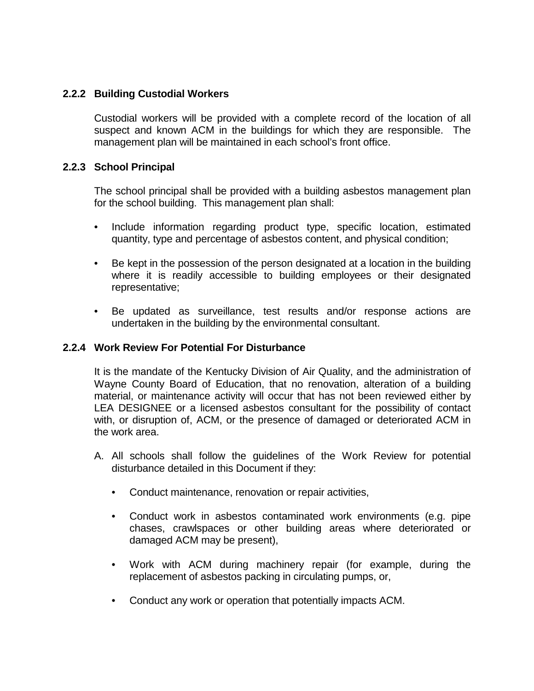### **2.2.2 Building Custodial Workers**

Custodial workers will be provided with a complete record of the location of all suspect and known ACM in the buildings for which they are responsible. The management plan will be maintained in each school's front office.

### **2.2.3 School Principal**

The school principal shall be provided with a building asbestos management plan for the school building. This management plan shall:

- Include information regarding product type, specific location, estimated quantity, type and percentage of asbestos content, and physical condition;
- Be kept in the possession of the person designated at a location in the building where it is readily accessible to building employees or their designated representative;
- Be updated as surveillance, test results and/or response actions are undertaken in the building by the environmental consultant.

#### **2.2.4 Work Review For Potential For Disturbance**

It is the mandate of the Kentucky Division of Air Quality, and the administration of Wayne County Board of Education, that no renovation, alteration of a building material, or maintenance activity will occur that has not been reviewed either by LEA DESIGNEE or a licensed asbestos consultant for the possibility of contact with, or disruption of, ACM, or the presence of damaged or deteriorated ACM in the work area.

- A. All schools shall follow the guidelines of the Work Review for potential disturbance detailed in this Document if they:
	- Conduct maintenance, renovation or repair activities,
	- Conduct work in asbestos contaminated work environments (e.g. pipe chases, crawlspaces or other building areas where deteriorated or damaged ACM may be present),
	- Work with ACM during machinery repair (for example, during the replacement of asbestos packing in circulating pumps, or,
	- Conduct any work or operation that potentially impacts ACM.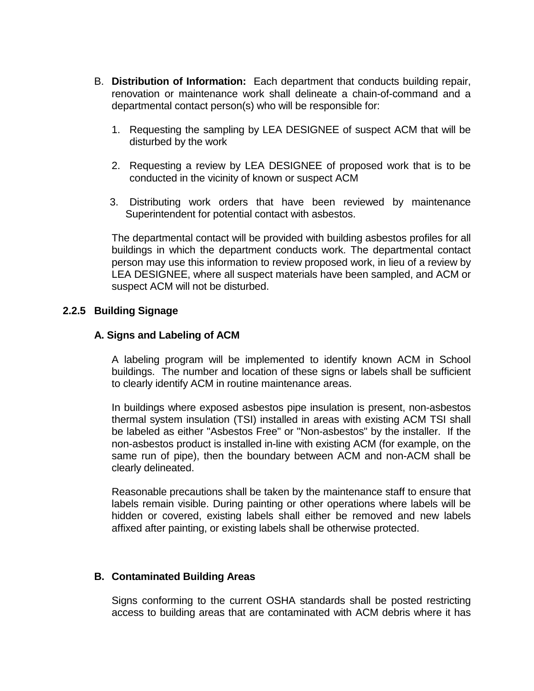- B. **Distribution of Information:** Each department that conducts building repair, renovation or maintenance work shall delineate a chain-of-command and a departmental contact person(s) who will be responsible for:
	- 1. Requesting the sampling by LEA DESIGNEE of suspect ACM that will be disturbed by the work
	- 2. Requesting a review by LEA DESIGNEE of proposed work that is to be conducted in the vicinity of known or suspect ACM
	- 3. Distributing work orders that have been reviewed by maintenance Superintendent for potential contact with asbestos.

The departmental contact will be provided with building asbestos profiles for all buildings in which the department conducts work. The departmental contact person may use this information to review proposed work, in lieu of a review by LEA DESIGNEE, where all suspect materials have been sampled, and ACM or suspect ACM will not be disturbed.

#### **2.2.5 Building Signage**

#### **A. Signs and Labeling of ACM**

A labeling program will be implemented to identify known ACM in School buildings. The number and location of these signs or labels shall be sufficient to clearly identify ACM in routine maintenance areas.

In buildings where exposed asbestos pipe insulation is present, non-asbestos thermal system insulation (TSI) installed in areas with existing ACM TSI shall be labeled as either "Asbestos Free" or "Non-asbestos" by the installer. If the non-asbestos product is installed in-line with existing ACM (for example, on the same run of pipe), then the boundary between ACM and non-ACM shall be clearly delineated.

Reasonable precautions shall be taken by the maintenance staff to ensure that labels remain visible. During painting or other operations where labels will be hidden or covered, existing labels shall either be removed and new labels affixed after painting, or existing labels shall be otherwise protected.

#### **B. Contaminated Building Areas**

Signs conforming to the current OSHA standards shall be posted restricting access to building areas that are contaminated with ACM debris where it has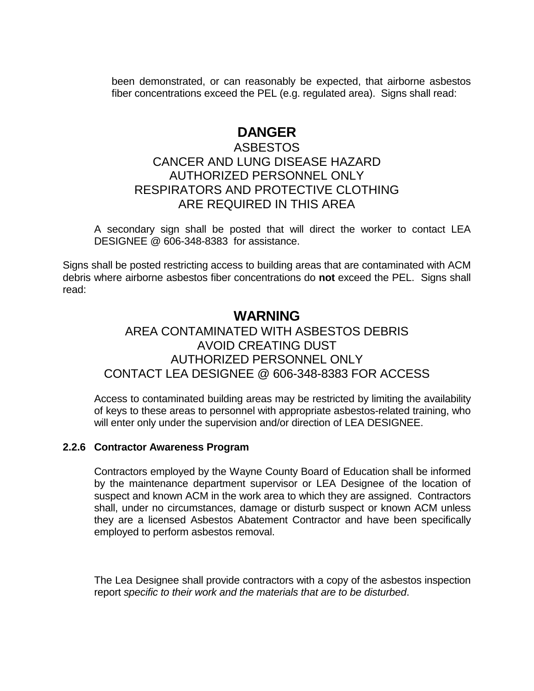been demonstrated, or can reasonably be expected, that airborne asbestos fiber concentrations exceed the PEL (e.g. regulated area). Signs shall read:

## **DANGER**

## ASBESTOS CANCER AND LUNG DISEASE HAZARD AUTHORIZED PERSONNEL ONLY RESPIRATORS AND PROTECTIVE CLOTHING ARE REQUIRED IN THIS AREA

A secondary sign shall be posted that will direct the worker to contact LEA DESIGNEE @ 606-348-8383 for assistance.

Signs shall be posted restricting access to building areas that are contaminated with ACM debris where airborne asbestos fiber concentrations do **not** exceed the PEL. Signs shall read:

## **WARNING** AREA CONTAMINATED WITH ASBESTOS DEBRIS AVOID CREATING DUST AUTHORIZED PERSONNEL ONLY CONTACT LEA DESIGNEE @ 606-348-8383 FOR ACCESS

Access to contaminated building areas may be restricted by limiting the availability of keys to these areas to personnel with appropriate asbestos-related training, who will enter only under the supervision and/or direction of LEA DESIGNEE.

### **2.2.6 Contractor Awareness Program**

Contractors employed by the Wayne County Board of Education shall be informed by the maintenance department supervisor or LEA Designee of the location of suspect and known ACM in the work area to which they are assigned. Contractors shall, under no circumstances, damage or disturb suspect or known ACM unless they are a licensed Asbestos Abatement Contractor and have been specifically employed to perform asbestos removal.

The Lea Designee shall provide contractors with a copy of the asbestos inspection report *specific to their work and the materials that are to be disturbed*.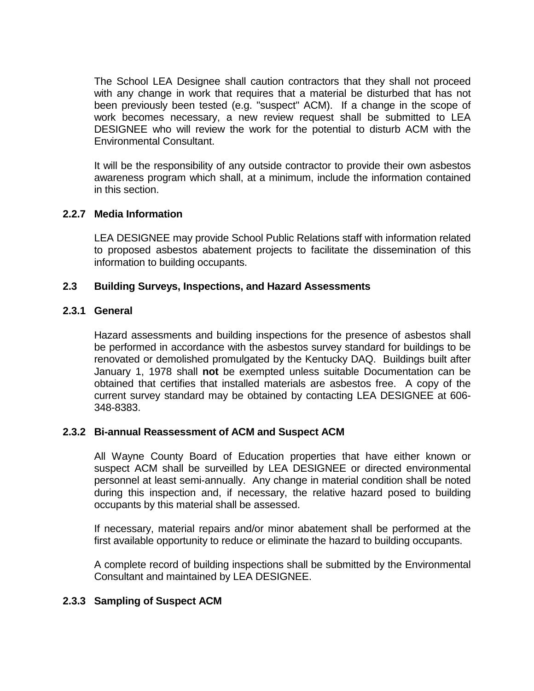The School LEA Designee shall caution contractors that they shall not proceed with any change in work that requires that a material be disturbed that has not been previously been tested (e.g. "suspect" ACM). If a change in the scope of work becomes necessary, a new review request shall be submitted to LEA DESIGNEE who will review the work for the potential to disturb ACM with the Environmental Consultant.

It will be the responsibility of any outside contractor to provide their own asbestos awareness program which shall, at a minimum, include the information contained in this section.

### **2.2.7 Media Information**

LEA DESIGNEE may provide School Public Relations staff with information related to proposed asbestos abatement projects to facilitate the dissemination of this information to building occupants.

#### **2.3 Building Surveys, Inspections, and Hazard Assessments**

#### **2.3.1 General**

Hazard assessments and building inspections for the presence of asbestos shall be performed in accordance with the asbestos survey standard for buildings to be renovated or demolished promulgated by the Kentucky DAQ. Buildings built after January 1, 1978 shall **not** be exempted unless suitable Documentation can be obtained that certifies that installed materials are asbestos free. A copy of the current survey standard may be obtained by contacting LEA DESIGNEE at 606- 348-8383.

#### **2.3.2 Bi-annual Reassessment of ACM and Suspect ACM**

All Wayne County Board of Education properties that have either known or suspect ACM shall be surveilled by LEA DESIGNEE or directed environmental personnel at least semi-annually. Any change in material condition shall be noted during this inspection and, if necessary, the relative hazard posed to building occupants by this material shall be assessed.

If necessary, material repairs and/or minor abatement shall be performed at the first available opportunity to reduce or eliminate the hazard to building occupants.

A complete record of building inspections shall be submitted by the Environmental Consultant and maintained by LEA DESIGNEE.

### **2.3.3 Sampling of Suspect ACM**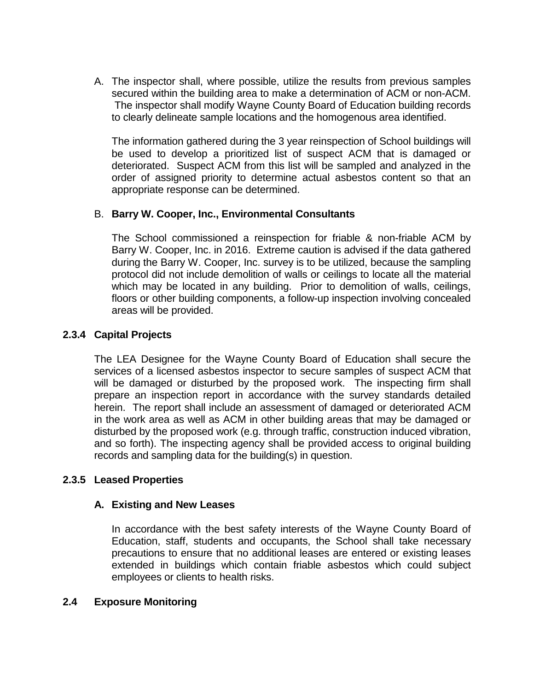A. The inspector shall, where possible, utilize the results from previous samples secured within the building area to make a determination of ACM or non-ACM. The inspector shall modify Wayne County Board of Education building records to clearly delineate sample locations and the homogenous area identified.

The information gathered during the 3 year reinspection of School buildings will be used to develop a prioritized list of suspect ACM that is damaged or deteriorated. Suspect ACM from this list will be sampled and analyzed in the order of assigned priority to determine actual asbestos content so that an appropriate response can be determined.

### B. **Barry W. Cooper, Inc., Environmental Consultants**

The School commissioned a reinspection for friable & non-friable ACM by Barry W. Cooper, Inc. in 2016. Extreme caution is advised if the data gathered during the Barry W. Cooper, Inc. survey is to be utilized, because the sampling protocol did not include demolition of walls or ceilings to locate all the material which may be located in any building. Prior to demolition of walls, ceilings, floors or other building components, a follow-up inspection involving concealed areas will be provided.

### **2.3.4 Capital Projects**

The LEA Designee for the Wayne County Board of Education shall secure the services of a licensed asbestos inspector to secure samples of suspect ACM that will be damaged or disturbed by the proposed work. The inspecting firm shall prepare an inspection report in accordance with the survey standards detailed herein. The report shall include an assessment of damaged or deteriorated ACM in the work area as well as ACM in other building areas that may be damaged or disturbed by the proposed work (e.g. through traffic, construction induced vibration, and so forth). The inspecting agency shall be provided access to original building records and sampling data for the building(s) in question.

### **2.3.5 Leased Properties**

### **A. Existing and New Leases**

In accordance with the best safety interests of the Wayne County Board of Education, staff, students and occupants, the School shall take necessary precautions to ensure that no additional leases are entered or existing leases extended in buildings which contain friable asbestos which could subject employees or clients to health risks.

### **2.4 Exposure Monitoring**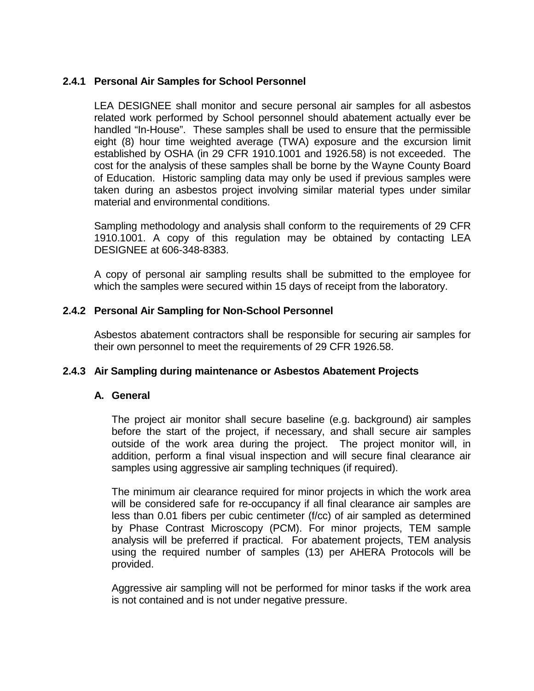### **2.4.1 Personal Air Samples for School Personnel**

LEA DESIGNEE shall monitor and secure personal air samples for all asbestos related work performed by School personnel should abatement actually ever be handled "In-House". These samples shall be used to ensure that the permissible eight (8) hour time weighted average (TWA) exposure and the excursion limit established by OSHA (in 29 CFR 1910.1001 and 1926.58) is not exceeded. The cost for the analysis of these samples shall be borne by the Wayne County Board of Education. Historic sampling data may only be used if previous samples were taken during an asbestos project involving similar material types under similar material and environmental conditions.

Sampling methodology and analysis shall conform to the requirements of 29 CFR 1910.1001. A copy of this regulation may be obtained by contacting LEA DESIGNEE at 606-348-8383.

A copy of personal air sampling results shall be submitted to the employee for which the samples were secured within 15 days of receipt from the laboratory.

### **2.4.2 Personal Air Sampling for Non-School Personnel**

Asbestos abatement contractors shall be responsible for securing air samples for their own personnel to meet the requirements of 29 CFR 1926.58.

### **2.4.3 Air Sampling during maintenance or Asbestos Abatement Projects**

#### **A. General**

The project air monitor shall secure baseline (e.g. background) air samples before the start of the project, if necessary, and shall secure air samples outside of the work area during the project. The project monitor will, in addition, perform a final visual inspection and will secure final clearance air samples using aggressive air sampling techniques (if required).

The minimum air clearance required for minor projects in which the work area will be considered safe for re-occupancy if all final clearance air samples are less than 0.01 fibers per cubic centimeter (f/cc) of air sampled as determined by Phase Contrast Microscopy (PCM). For minor projects, TEM sample analysis will be preferred if practical. For abatement projects, TEM analysis using the required number of samples (13) per AHERA Protocols will be provided.

Aggressive air sampling will not be performed for minor tasks if the work area is not contained and is not under negative pressure.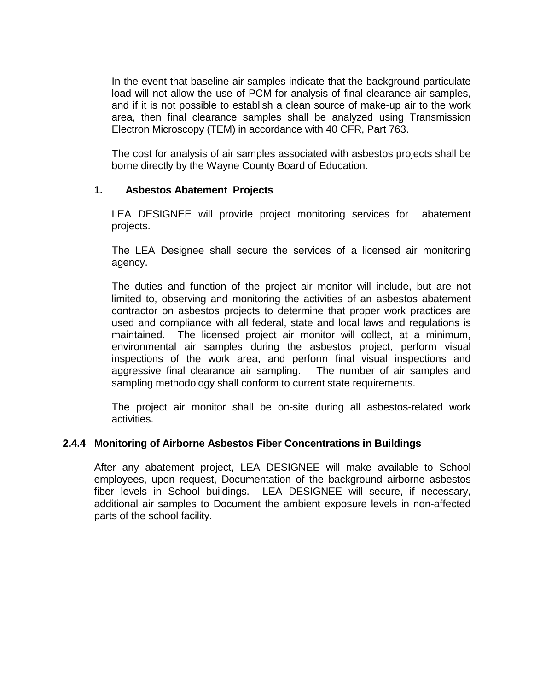In the event that baseline air samples indicate that the background particulate load will not allow the use of PCM for analysis of final clearance air samples, and if it is not possible to establish a clean source of make-up air to the work area, then final clearance samples shall be analyzed using Transmission Electron Microscopy (TEM) in accordance with 40 CFR, Part 763.

The cost for analysis of air samples associated with asbestos projects shall be borne directly by the Wayne County Board of Education.

### **1. Asbestos Abatement Projects**

LEA DESIGNEE will provide project monitoring services for abatement projects.

The LEA Designee shall secure the services of a licensed air monitoring agency.

The duties and function of the project air monitor will include, but are not limited to, observing and monitoring the activities of an asbestos abatement contractor on asbestos projects to determine that proper work practices are used and compliance with all federal, state and local laws and regulations is maintained. The licensed project air monitor will collect, at a minimum, environmental air samples during the asbestos project, perform visual inspections of the work area, and perform final visual inspections and aggressive final clearance air sampling. The number of air samples and sampling methodology shall conform to current state requirements.

The project air monitor shall be on-site during all asbestos-related work activities.

### **2.4.4 Monitoring of Airborne Asbestos Fiber Concentrations in Buildings**

After any abatement project, LEA DESIGNEE will make available to School employees, upon request, Documentation of the background airborne asbestos fiber levels in School buildings. LEA DESIGNEE will secure, if necessary, additional air samples to Document the ambient exposure levels in non-affected parts of the school facility.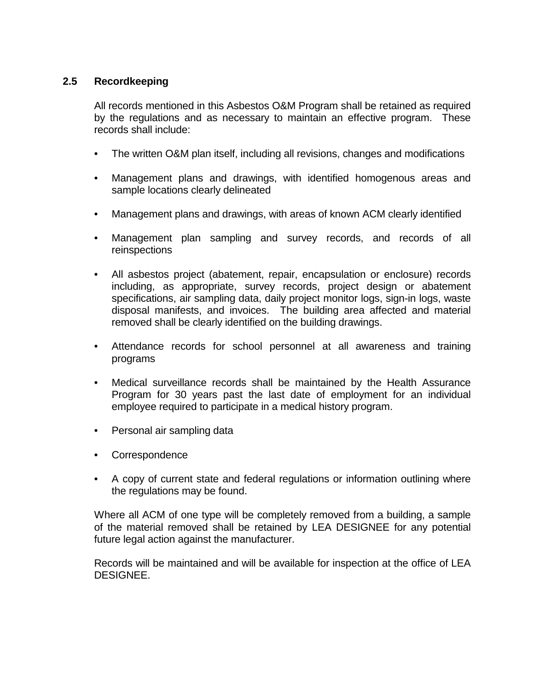### **2.5 Recordkeeping**

All records mentioned in this Asbestos O&M Program shall be retained as required by the regulations and as necessary to maintain an effective program. These records shall include:

- The written O&M plan itself, including all revisions, changes and modifications
- Management plans and drawings, with identified homogenous areas and sample locations clearly delineated
- Management plans and drawings, with areas of known ACM clearly identified
- Management plan sampling and survey records, and records of all reinspections
- All asbestos project (abatement, repair, encapsulation or enclosure) records including, as appropriate, survey records, project design or abatement specifications, air sampling data, daily project monitor logs, sign-in logs, waste disposal manifests, and invoices. The building area affected and material removed shall be clearly identified on the building drawings.
- Attendance records for school personnel at all awareness and training programs
- Medical surveillance records shall be maintained by the Health Assurance Program for 30 years past the last date of employment for an individual employee required to participate in a medical history program.
- Personal air sampling data
- Correspondence
- A copy of current state and federal regulations or information outlining where the regulations may be found.

Where all ACM of one type will be completely removed from a building, a sample of the material removed shall be retained by LEA DESIGNEE for any potential future legal action against the manufacturer.

Records will be maintained and will be available for inspection at the office of LEA DESIGNEE.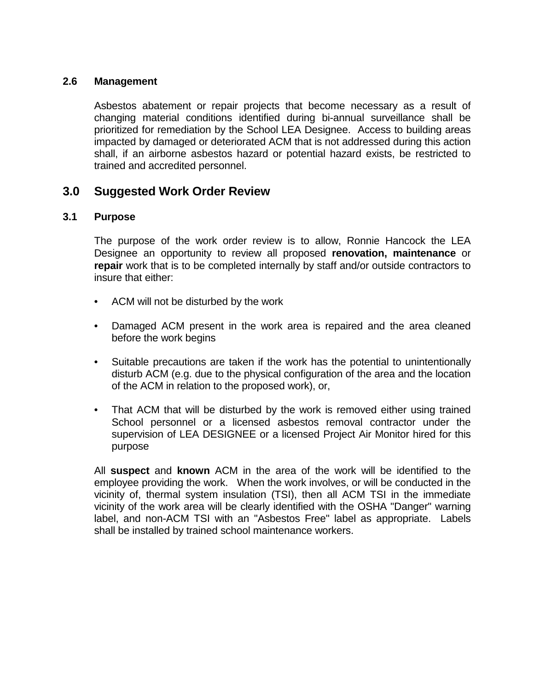#### **2.6 Management**

Asbestos abatement or repair projects that become necessary as a result of changing material conditions identified during bi-annual surveillance shall be prioritized for remediation by the School LEA Designee. Access to building areas impacted by damaged or deteriorated ACM that is not addressed during this action shall, if an airborne asbestos hazard or potential hazard exists, be restricted to trained and accredited personnel.

## **3.0 Suggested Work Order Review**

#### **3.1 Purpose**

The purpose of the work order review is to allow, Ronnie Hancock the LEA Designee an opportunity to review all proposed **renovation, maintenance** or **repair** work that is to be completed internally by staff and/or outside contractors to insure that either:

- ACM will not be disturbed by the work
- Damaged ACM present in the work area is repaired and the area cleaned before the work begins
- Suitable precautions are taken if the work has the potential to unintentionally disturb ACM (e.g. due to the physical configuration of the area and the location of the ACM in relation to the proposed work), or,
- That ACM that will be disturbed by the work is removed either using trained School personnel or a licensed asbestos removal contractor under the supervision of LEA DESIGNEE or a licensed Project Air Monitor hired for this purpose

All **suspect** and **known** ACM in the area of the work will be identified to the employee providing the work. When the work involves, or will be conducted in the vicinity of, thermal system insulation (TSI), then all ACM TSI in the immediate vicinity of the work area will be clearly identified with the OSHA "Danger" warning label, and non-ACM TSI with an "Asbestos Free" label as appropriate. Labels shall be installed by trained school maintenance workers.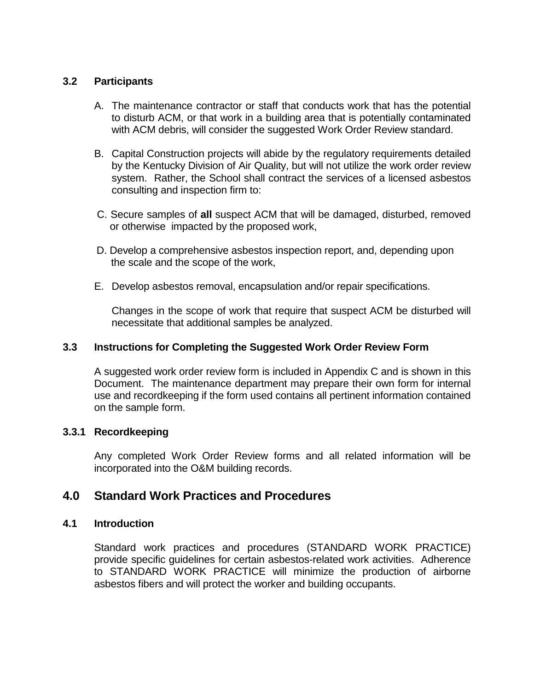### **3.2 Participants**

- A. The maintenance contractor or staff that conducts work that has the potential to disturb ACM, or that work in a building area that is potentially contaminated with ACM debris, will consider the suggested Work Order Review standard.
- B. Capital Construction projects will abide by the regulatory requirements detailed by the Kentucky Division of Air Quality, but will not utilize the work order review system. Rather, the School shall contract the services of a licensed asbestos consulting and inspection firm to:
- C. Secure samples of **all** suspect ACM that will be damaged, disturbed, removed or otherwise impacted by the proposed work,
- D. Develop a comprehensive asbestos inspection report, and, depending upon the scale and the scope of the work,
- E. Develop asbestos removal, encapsulation and/or repair specifications.

Changes in the scope of work that require that suspect ACM be disturbed will necessitate that additional samples be analyzed.

### **3.3 Instructions for Completing the Suggested Work Order Review Form**

A suggested work order review form is included in Appendix C and is shown in this Document. The maintenance department may prepare their own form for internal use and recordkeeping if the form used contains all pertinent information contained on the sample form.

### **3.3.1 Recordkeeping**

Any completed Work Order Review forms and all related information will be incorporated into the O&M building records.

## **4.0 Standard Work Practices and Procedures**

### **4.1 Introduction**

Standard work practices and procedures (STANDARD WORK PRACTICE) provide specific guidelines for certain asbestos-related work activities. Adherence to STANDARD WORK PRACTICE will minimize the production of airborne asbestos fibers and will protect the worker and building occupants.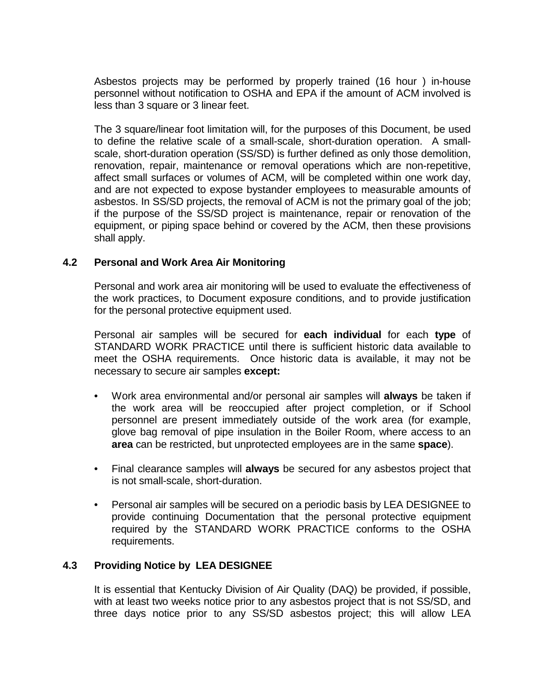Asbestos projects may be performed by properly trained (16 hour ) in-house personnel without notification to OSHA and EPA if the amount of ACM involved is less than 3 square or 3 linear feet.

The 3 square/linear foot limitation will, for the purposes of this Document, be used to define the relative scale of a small-scale, short-duration operation. A smallscale, short-duration operation (SS/SD) is further defined as only those demolition, renovation, repair, maintenance or removal operations which are non-repetitive, affect small surfaces or volumes of ACM, will be completed within one work day, and are not expected to expose bystander employees to measurable amounts of asbestos. In SS/SD projects, the removal of ACM is not the primary goal of the job; if the purpose of the SS/SD project is maintenance, repair or renovation of the equipment, or piping space behind or covered by the ACM, then these provisions shall apply.

### **4.2 Personal and Work Area Air Monitoring**

Personal and work area air monitoring will be used to evaluate the effectiveness of the work practices, to Document exposure conditions, and to provide justification for the personal protective equipment used.

Personal air samples will be secured for **each individual** for each **type** of STANDARD WORK PRACTICE until there is sufficient historic data available to meet the OSHA requirements. Once historic data is available, it may not be necessary to secure air samples **except:**

- Work area environmental and/or personal air samples will **always** be taken if the work area will be reoccupied after project completion, or if School personnel are present immediately outside of the work area (for example, glove bag removal of pipe insulation in the Boiler Room, where access to an **area** can be restricted, but unprotected employees are in the same **space**).
- Final clearance samples will **always** be secured for any asbestos project that is not small-scale, short-duration.
- Personal air samples will be secured on a periodic basis by LEA DESIGNEE to provide continuing Documentation that the personal protective equipment required by the STANDARD WORK PRACTICE conforms to the OSHA requirements.

### **4.3 Providing Notice by LEA DESIGNEE**

It is essential that Kentucky Division of Air Quality (DAQ) be provided, if possible, with at least two weeks notice prior to any asbestos project that is not SS/SD, and three days notice prior to any SS/SD asbestos project; this will allow LEA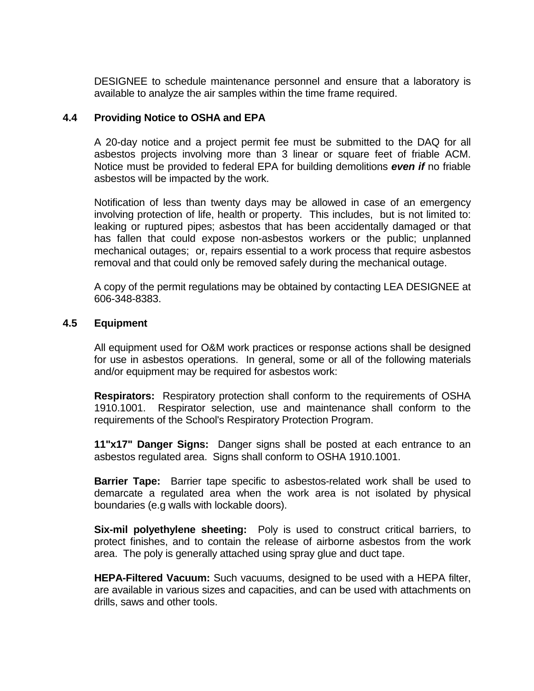DESIGNEE to schedule maintenance personnel and ensure that a laboratory is available to analyze the air samples within the time frame required.

#### **4.4 Providing Notice to OSHA and EPA**

A 20-day notice and a project permit fee must be submitted to the DAQ for all asbestos projects involving more than 3 linear or square feet of friable ACM. Notice must be provided to federal EPA for building demolitions *even if* no friable asbestos will be impacted by the work.

Notification of less than twenty days may be allowed in case of an emergency involving protection of life, health or property. This includes, but is not limited to: leaking or ruptured pipes; asbestos that has been accidentally damaged or that has fallen that could expose non-asbestos workers or the public; unplanned mechanical outages; or, repairs essential to a work process that require asbestos removal and that could only be removed safely during the mechanical outage.

A copy of the permit regulations may be obtained by contacting LEA DESIGNEE at 606-348-8383.

#### **4.5 Equipment**

All equipment used for O&M work practices or response actions shall be designed for use in asbestos operations. In general, some or all of the following materials and/or equipment may be required for asbestos work:

**Respirators:** Respiratory protection shall conform to the requirements of OSHA 1910.1001. Respirator selection, use and maintenance shall conform to the requirements of the School's Respiratory Protection Program.

**11"x17" Danger Signs:** Danger signs shall be posted at each entrance to an asbestos regulated area. Signs shall conform to OSHA 1910.1001.

**Barrier Tape:** Barrier tape specific to asbestos-related work shall be used to demarcate a regulated area when the work area is not isolated by physical boundaries (e.g walls with lockable doors).

**Six-mil polyethylene sheeting:** Poly is used to construct critical barriers, to protect finishes, and to contain the release of airborne asbestos from the work area. The poly is generally attached using spray glue and duct tape.

**HEPA-Filtered Vacuum:** Such vacuums, designed to be used with a HEPA filter, are available in various sizes and capacities, and can be used with attachments on drills, saws and other tools.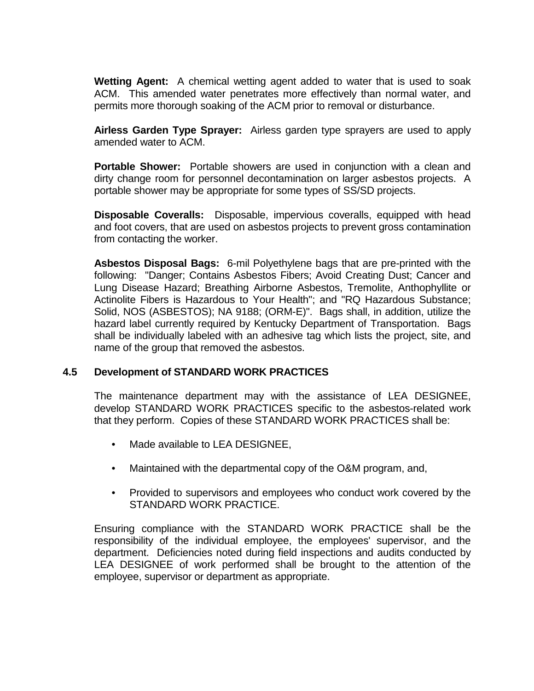**Wetting Agent:** A chemical wetting agent added to water that is used to soak ACM. This amended water penetrates more effectively than normal water, and permits more thorough soaking of the ACM prior to removal or disturbance.

**Airless Garden Type Sprayer:** Airless garden type sprayers are used to apply amended water to ACM.

**Portable Shower:** Portable showers are used in conjunction with a clean and dirty change room for personnel decontamination on larger asbestos projects. A portable shower may be appropriate for some types of SS/SD projects.

**Disposable Coveralls:** Disposable, impervious coveralls, equipped with head and foot covers, that are used on asbestos projects to prevent gross contamination from contacting the worker.

**Asbestos Disposal Bags:** 6-mil Polyethylene bags that are pre-printed with the following: "Danger; Contains Asbestos Fibers; Avoid Creating Dust; Cancer and Lung Disease Hazard; Breathing Airborne Asbestos, Tremolite, Anthophyllite or Actinolite Fibers is Hazardous to Your Health"; and "RQ Hazardous Substance; Solid, NOS (ASBESTOS); NA 9188; (ORM-E)". Bags shall, in addition, utilize the hazard label currently required by Kentucky Department of Transportation. Bags shall be individually labeled with an adhesive tag which lists the project, site, and name of the group that removed the asbestos.

### **4.5 Development of STANDARD WORK PRACTICES**

The maintenance department may with the assistance of LEA DESIGNEE, develop STANDARD WORK PRACTICES specific to the asbestos-related work that they perform. Copies of these STANDARD WORK PRACTICES shall be:

- Made available to LEA DESIGNEE,
- Maintained with the departmental copy of the O&M program, and,
- Provided to supervisors and employees who conduct work covered by the STANDARD WORK PRACTICE.

Ensuring compliance with the STANDARD WORK PRACTICE shall be the responsibility of the individual employee, the employees' supervisor, and the department. Deficiencies noted during field inspections and audits conducted by LEA DESIGNEE of work performed shall be brought to the attention of the employee, supervisor or department as appropriate.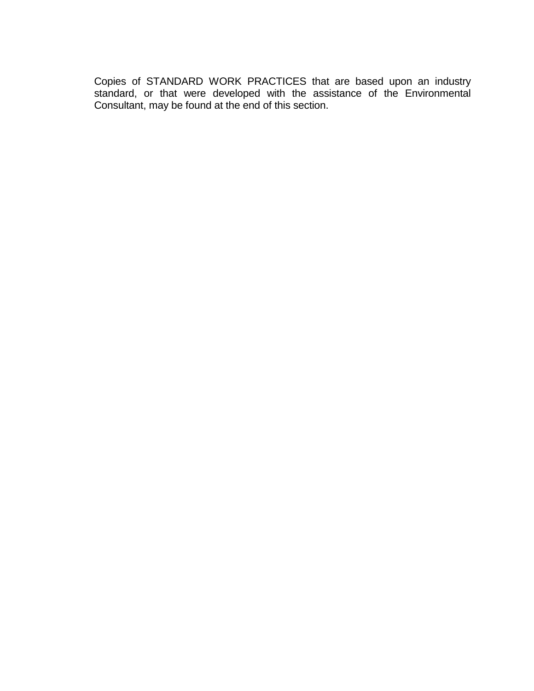Copies of STANDARD WORK PRACTICES that are based upon an industry standard, or that were developed with the assistance of the Environmental Consultant, may be found at the end of this section.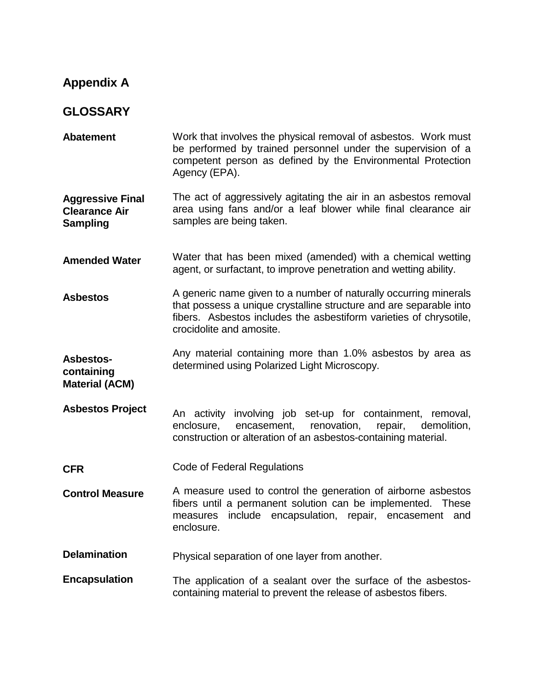## **Appendix A**

## **GLOSSARY**

**Abatement** Work that involves the physical removal of asbestos. Work must be performed by trained personnel under the supervision of a competent person as defined by the Environmental Protection Agency (EPA).

**Aggressive Final Clearance Air Sampling** The act of aggressively agitating the air in an asbestos removal area using fans and/or a leaf blower while final clearance air samples are being taken.

- **Amended Water** Water that has been mixed (amended) with a chemical wetting agent, or surfactant, to improve penetration and wetting ability.
- **Asbestos** A generic name given to a number of naturally occurring minerals that possess a unique crystalline structure and are separable into fibers. Asbestos includes the asbestiform varieties of chrysotile, crocidolite and amosite.

**Asbestoscontaining** Any material containing more than 1.0% asbestos by area as determined using Polarized Light Microscopy.

**Material (ACM)**

- **Asbestos Project** An activity involving job set-up for containment, removal, enclosure, encasement, renovation, repair, demolition, construction or alteration of an asbestos-containing material.
- **CFR** Code of Federal Regulations
- **Control Measure** A measure used to control the generation of airborne asbestos fibers until a permanent solution can be implemented. These measures include encapsulation, repair, encasement and enclosure.
- **Delamination** Physical separation of one layer from another.
- **Encapsulation** The application of a sealant over the surface of the asbestoscontaining material to prevent the release of asbestos fibers.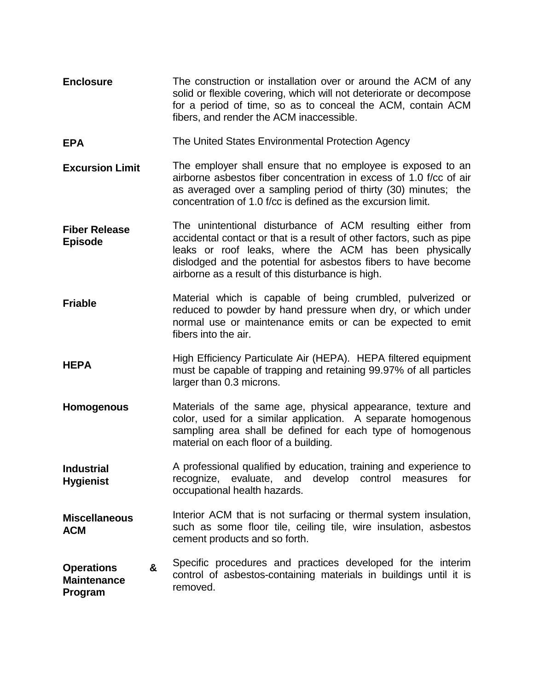- **Enclosure** The construction or installation over or around the ACM of any solid or flexible covering, which will not deteriorate or decompose for a period of time, so as to conceal the ACM, contain ACM fibers, and render the ACM inaccessible.
- **EPA** The United States Environmental Protection Agency
- **Excursion Limit** The employer shall ensure that no employee is exposed to an airborne asbestos fiber concentration in excess of 1.0 f/cc of air as averaged over a sampling period of thirty (30) minutes; the concentration of 1.0 f/cc is defined as the excursion limit.
- **Fiber Release Episode** The unintentional disturbance of ACM resulting either from accidental contact or that is a result of other factors, such as pipe leaks or roof leaks, where the ACM has been physically dislodged and the potential for asbestos fibers to have become airborne as a result of this disturbance is high.
- **Friable** Material which is capable of being crumbled, pulverized or reduced to powder by hand pressure when dry, or which under normal use or maintenance emits or can be expected to emit fibers into the air.
- **HEPA** High Efficiency Particulate Air (HEPA). HEPA filtered equipment must be capable of trapping and retaining 99.97% of all particles larger than 0.3 microns.
- **Homogenous** Materials of the same age, physical appearance, texture and color, used for a similar application. A separate homogenous sampling area shall be defined for each type of homogenous material on each floor of a building.
- **Industrial Hygienist** A professional qualified by education, training and experience to recognize, evaluate, and develop control measures for occupational health hazards.
- **Miscellaneous ACM** Interior ACM that is not surfacing or thermal system insulation, such as some floor tile, ceiling tile, wire insulation, asbestos cement products and so forth.
- **Operations & Maintenance Program**  Specific procedures and practices developed for the interim control of asbestos-containing materials in buildings until it is removed.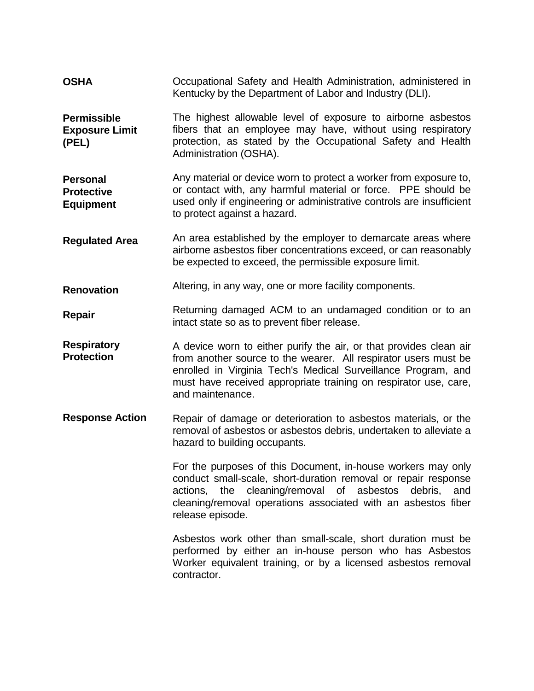**OSHA** Occupational Safety and Health Administration, administered in Kentucky by the Department of Labor and Industry (DLI).

**Permissible Exposure Limit (PEL)** The highest allowable level of exposure to airborne asbestos fibers that an employee may have, without using respiratory protection, as stated by the Occupational Safety and Health Administration (OSHA).

**Personal Protective Equipment** Any material or device worn to protect a worker from exposure to, or contact with, any harmful material or force. PPE should be used only if engineering or administrative controls are insufficient to protect against a hazard.

**Regulated Area** An area established by the employer to demarcate areas where airborne asbestos fiber concentrations exceed, or can reasonably be expected to exceed, the permissible exposure limit.

**Renovation** Altering, in any way, one or more facility components.

**Repair** Returning damaged ACM to an undamaged condition or to an intact state so as to prevent fiber release.

- **Respiratory Protection** A device worn to either purify the air, or that provides clean air from another source to the wearer. All respirator users must be enrolled in Virginia Tech's Medical Surveillance Program, and must have received appropriate training on respirator use, care, and maintenance.
- **Response Action** Repair of damage or deterioration to asbestos materials, or the removal of asbestos or asbestos debris, undertaken to alleviate a hazard to building occupants.

For the purposes of this Document, in-house workers may only conduct small-scale, short-duration removal or repair response actions, the cleaning/removal of asbestos debris, and cleaning/removal operations associated with an asbestos fiber release episode.

Asbestos work other than small-scale, short duration must be performed by either an in-house person who has Asbestos Worker equivalent training, or by a licensed asbestos removal contractor.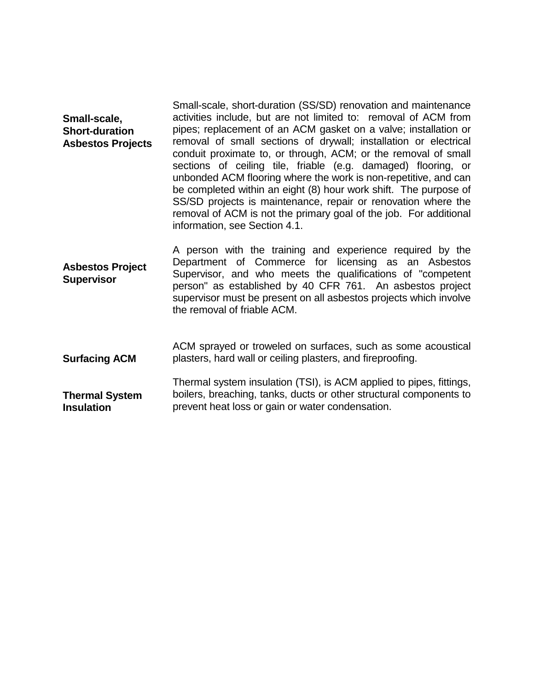|                          | Small-scale, short-duration (SS/SD) renovation and maintenance    |  |  |  |  |
|--------------------------|-------------------------------------------------------------------|--|--|--|--|
| Small-scale,             | activities include, but are not limited to: removal of ACM from   |  |  |  |  |
| <b>Short-duration</b>    | pipes; replacement of an ACM gasket on a valve; installation or   |  |  |  |  |
| <b>Asbestos Projects</b> | removal of small sections of drywall; installation or electrical  |  |  |  |  |
|                          | conduit proximate to, or through, ACM; or the removal of small    |  |  |  |  |
|                          | sections of ceiling tile, friable (e.g. damaged) flooring, or     |  |  |  |  |
|                          | unbonded ACM flooring where the work is non-repetitive, and can   |  |  |  |  |
|                          | be completed within an eight (8) hour work shift. The purpose of  |  |  |  |  |
|                          | SS/SD projects is maintenance, repair or renovation where the     |  |  |  |  |
|                          | removal of ACM is not the primary goal of the job. For additional |  |  |  |  |
|                          | information, see Section 4.1.                                     |  |  |  |  |
|                          |                                                                   |  |  |  |  |

- **Asbestos Project Supervisor** A person with the training and experience required by the Department of Commerce for licensing as an Asbestos Supervisor, and who meets the qualifications of "competent person" as established by 40 CFR 761. An asbestos project supervisor must be present on all asbestos projects which involve the removal of friable ACM.
- **Surfacing ACM** ACM sprayed or troweled on surfaces, such as some acoustical plasters, hard wall or ceiling plasters, and fireproofing. Thermal system insulation (TSI), is ACM applied to pipes, fittings,

**Thermal System Insulation** boilers, breaching, tanks, ducts or other structural components to prevent heat loss or gain or water condensation.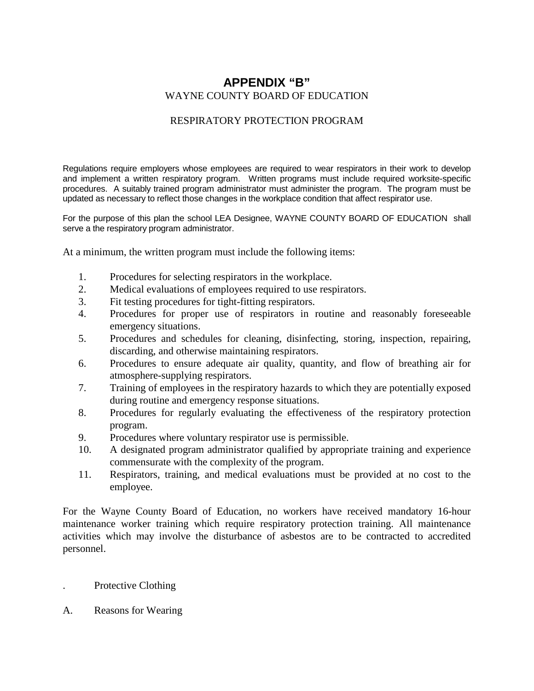## **APPENDIX "B"** WAYNE COUNTY BOARD OF EDUCATION

#### RESPIRATORY PROTECTION PROGRAM

Regulations require employers whose employees are required to wear respirators in their work to develop and implement a written respiratory program. Written programs must include required worksite-specific procedures. A suitably trained program administrator must administer the program. The program must be updated as necessary to reflect those changes in the workplace condition that affect respirator use.

For the purpose of this plan the school LEA Designee, WAYNE COUNTY BOARD OF EDUCATION shall serve a the respiratory program administrator.

At a minimum, the written program must include the following items:

- 1. Procedures for selecting respirators in the workplace.
- 2. Medical evaluations of employees required to use respirators.
- 3. Fit testing procedures for tight-fitting respirators.
- 4. Procedures for proper use of respirators in routine and reasonably foreseeable emergency situations.
- 5. Procedures and schedules for cleaning, disinfecting, storing, inspection, repairing, discarding, and otherwise maintaining respirators.
- 6. Procedures to ensure adequate air quality, quantity, and flow of breathing air for atmosphere-supplying respirators.
- 7. Training of employees in the respiratory hazards to which they are potentially exposed during routine and emergency response situations.
- 8. Procedures for regularly evaluating the effectiveness of the respiratory protection program.
- 9. Procedures where voluntary respirator use is permissible.
- 10. A designated program administrator qualified by appropriate training and experience commensurate with the complexity of the program.
- 11. Respirators, training, and medical evaluations must be provided at no cost to the employee.

For the Wayne County Board of Education, no workers have received mandatory 16-hour maintenance worker training which require respiratory protection training. All maintenance activities which may involve the disturbance of asbestos are to be contracted to accredited personnel.

- . Protective Clothing
- A. Reasons for Wearing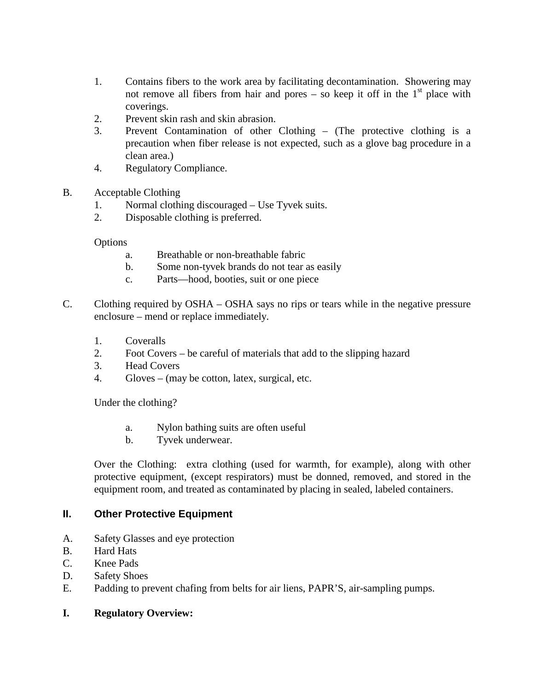- 1. Contains fibers to the work area by facilitating decontamination. Showering may not remove all fibers from hair and pores – so keep it off in the  $1<sup>st</sup>$  place with coverings.
- 2. Prevent skin rash and skin abrasion.
- 3. Prevent Contamination of other Clothing (The protective clothing is a precaution when fiber release is not expected, such as a glove bag procedure in a clean area.)
- 4. Regulatory Compliance.
- B. Acceptable Clothing
	- 1. Normal clothing discouraged Use Tyvek suits.
	- 2. Disposable clothing is preferred.

**Options** 

- a. Breathable or non-breathable fabric
- b. Some non-tyvek brands do not tear as easily
- c. Parts—hood, booties, suit or one piece
- C. Clothing required by OSHA OSHA says no rips or tears while in the negative pressure enclosure – mend or replace immediately.
	- 1. Coveralls
	- 2. Foot Covers be careful of materials that add to the slipping hazard
	- 3. Head Covers
	- 4. Gloves (may be cotton, latex, surgical, etc.

Under the clothing?

- a. Nylon bathing suits are often useful
- b. Tyvek underwear.

Over the Clothing: extra clothing (used for warmth, for example), along with other protective equipment, (except respirators) must be donned, removed, and stored in the equipment room, and treated as contaminated by placing in sealed, labeled containers.

### **II. Other Protective Equipment**

- A. Safety Glasses and eye protection
- B. Hard Hats
- C. Knee Pads
- D. Safety Shoes
- E. Padding to prevent chafing from belts for air liens, PAPR'S, air-sampling pumps.

### **I. Regulatory Overview:**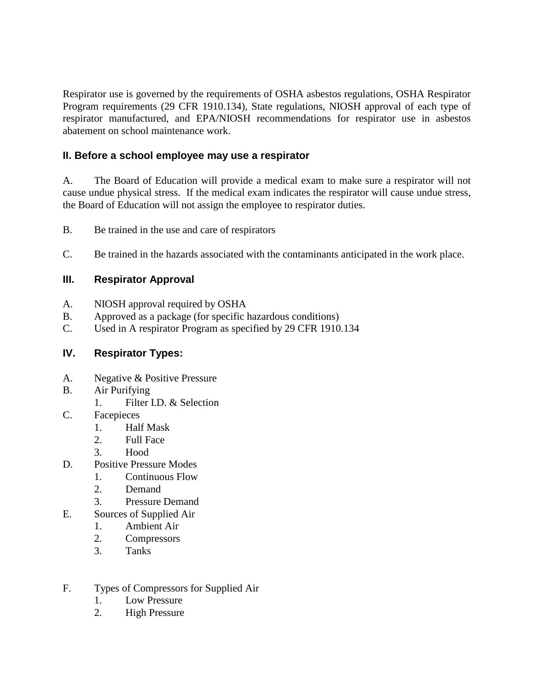Respirator use is governed by the requirements of OSHA asbestos regulations, OSHA Respirator Program requirements (29 CFR 1910.134), State regulations, NIOSH approval of each type of respirator manufactured, and EPA/NIOSH recommendations for respirator use in asbestos abatement on school maintenance work.

## **II. Before a school employee may use a respirator**

A. The Board of Education will provide a medical exam to make sure a respirator will not cause undue physical stress. If the medical exam indicates the respirator will cause undue stress, the Board of Education will not assign the employee to respirator duties.

B. Be trained in the use and care of respirators

C. Be trained in the hazards associated with the contaminants anticipated in the work place.

### **III. Respirator Approval**

- A. NIOSH approval required by OSHA
- B. Approved as a package (for specific hazardous conditions)
- C. Used in A respirator Program as specified by 29 CFR 1910.134

## **IV. Respirator Types:**

- A. Negative & Positive Pressure
- B. Air Purifying
	- 1. Filter I.D. & Selection
- C. Facepieces
	- 1. Half Mask
	- 2. Full Face
	- 3. Hood
- D. Positive Pressure Modes
	- 1. Continuous Flow
	- 2. Demand
	- 3. Pressure Demand
- E. Sources of Supplied Air
	- 1. Ambient Air
	- 2. Compressors
	- 3. Tanks
- F. Types of Compressors for Supplied Air
	- 1. Low Pressure
	- 2. High Pressure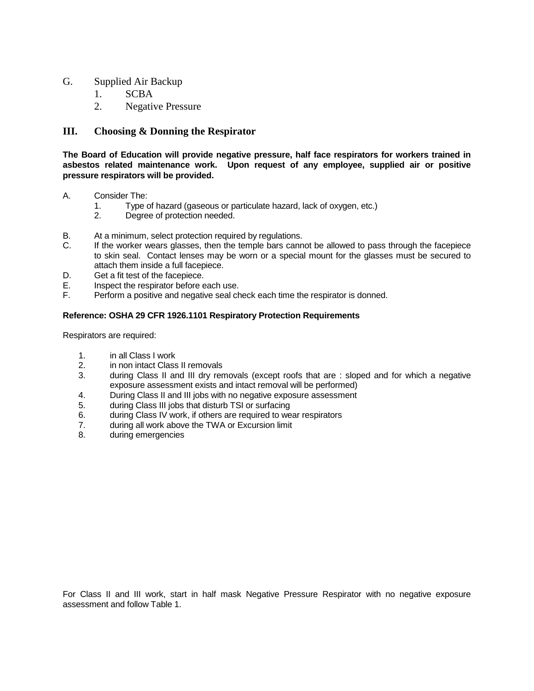#### G. Supplied Air Backup

- 1. SCBA
- 2. Negative Pressure

#### **III. Choosing & Donning the Respirator**

**The Board of Education will provide negative pressure, half face respirators for workers trained in asbestos related maintenance work. Upon request of any employee, supplied air or positive pressure respirators will be provided.**

- A. Consider The:<br>1. Type of
	- 1. Type of hazard (gaseous or particulate hazard, lack of oxygen, etc.)
	- Degree of protection needed.
- B. At a minimum, select protection required by regulations.
- C. If the worker wears glasses, then the temple bars cannot be allowed to pass through the facepiece to skin seal. Contact lenses may be worn or a special mount for the glasses must be secured to attach them inside a full facepiece.
- D. Get a fit test of the facepiece.
- E. Inspect the respirator before each use.
- F. Perform a positive and negative seal check each time the respirator is donned.

#### **Reference: OSHA 29 CFR 1926.1101 Respiratory Protection Requirements**

Respirators are required:

- 1. in all Class I work
- 2. in non intact Class II removals<br>3. during Class II and III drv rer
- during Class II and III dry removals (except roofs that are : sloped and for which a negative exposure assessment exists and intact removal will be performed)
- 4. During Class II and III jobs with no negative exposure assessment
- 5. during Class III jobs that disturb TSI or surfacing
- 6. during Class IV work, if others are required to wear respirators
- 7. during all work above the TWA or Excursion limit
- 8. during emergencies

For Class II and III work, start in half mask Negative Pressure Respirator with no negative exposure assessment and follow Table 1.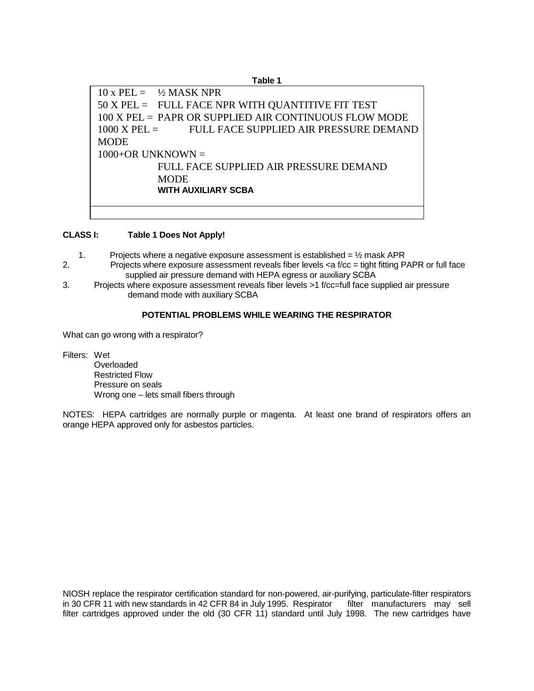**Table 1**  $10 x PEL = \frac{1}{2} MASK NPR$ 50 X PEL = FULL FACE NPR WITH QUANTITIVE FIT TEST 100 X PEL = PAPR OR SUPPLIED AIR CONTINUOUS FLOW MODE 1000 X PEL = FULL FACE SUPPLIED AIR PRESSURE DEMAND **MODE**  $1000+OR$  UNKNOWN = FULL FACE SUPPLIED AIR PRESSURE DEMAND **MODE WITH AUXILIARY SCBA**

#### **CLASS I: Table 1 Does Not Apply!**

- 1. Projects where a negative exposure assessment is established =  $\frac{1}{2}$  mask APR
- 2. Projects where exposure assessment reveals fiber levels <a f/cc = tight fitting PAPR or full face supplied air pressure demand with HEPA egress or auxiliary SCBA
- 3. Projects where exposure assessment reveals fiber levels >1 f/cc=full face supplied air pressure demand mode with auxiliary SCBA

#### **POTENTIAL PROBLEMS WHILE WEARING THE RESPIRATOR**

What can go wrong with a respirator?

Filters: Wet

Overloaded Restricted Flow Pressure on seals Wrong one – lets small fibers through

NOTES: HEPA cartridges are normally purple or magenta. At least one brand of respirators offers an orange HEPA approved only for asbestos particles.

NIOSH replace the respirator certification standard for non-powered, air-purifying, particulate-filter respirators in 30 CFR 11 with new standards in 42 CFR 84 in July 1995. Respirator filter manufacturers may sell filter cartridges approved under the old (30 CFR 11) standard until July 1998. The new cartridges have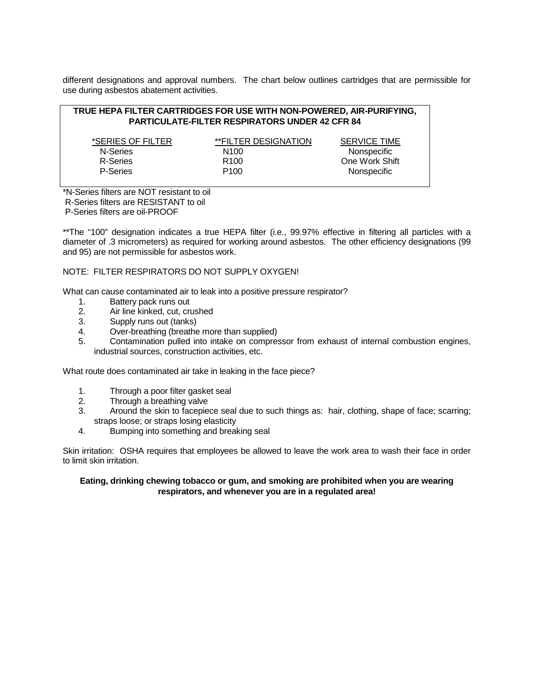different designations and approval numbers. The chart below outlines cartridges that are permissible for use during asbestos abatement activities.

| TRUE HEPA FILTER CARTRIDGES FOR USE WITH NON-POWERED, AIR-PURIFYING, |  |
|----------------------------------------------------------------------|--|
| <b>PARTICULATE-FILTER RESPIRATORS UNDER 42 CFR 84</b>                |  |

| *SERIES OF FILTER | **FILTER DESIGNATION | <b>SERVICE TIME</b> |
|-------------------|----------------------|---------------------|
| N-Series          | N <sub>100</sub>     | Nonspecific         |
| R-Series          | R <sub>100</sub>     | One Work Shift      |
| P-Series          | P <sub>100</sub>     | Nonspecific         |

\*N-Series filters are NOT resistant to oil R-Series filters are RESISTANT to oil P-Series filters are oil-PROOF

\*\*The "100" designation indicates a true HEPA filter (i.e., 99.97% effective in filtering all particles with a diameter of .3 micrometers) as required for working around asbestos. The other efficiency designations (99 and 95) are not permissible for asbestos work.

#### NOTE: FILTER RESPIRATORS DO NOT SUPPLY OXYGEN!

What can cause contaminated air to leak into a positive pressure respirator?

- 1. Battery pack runs out
- 2. Air line kinked, cut, crushed
- 3. Supply runs out (tanks)
- 4. Over-breathing (breathe more than supplied)<br>5. Contamination pulled into intake on compres
- 5. Contamination pulled into intake on compressor from exhaust of internal combustion engines, industrial sources, construction activities, etc.

What route does contaminated air take in leaking in the face piece?

- 1. Through a poor filter gasket seal
- 2. Through a breathing valve
- 3. Around the skin to facepiece seal due to such things as: hair, clothing, shape of face; scarring; straps loose; or straps losing elasticity
- 4. Bumping into something and breaking seal

Skin irritation: OSHA requires that employees be allowed to leave the work area to wash their face in order to limit skin irritation.

#### **Eating, drinking chewing tobacco or gum, and smoking are prohibited when you are wearing respirators, and whenever you are in a regulated area!**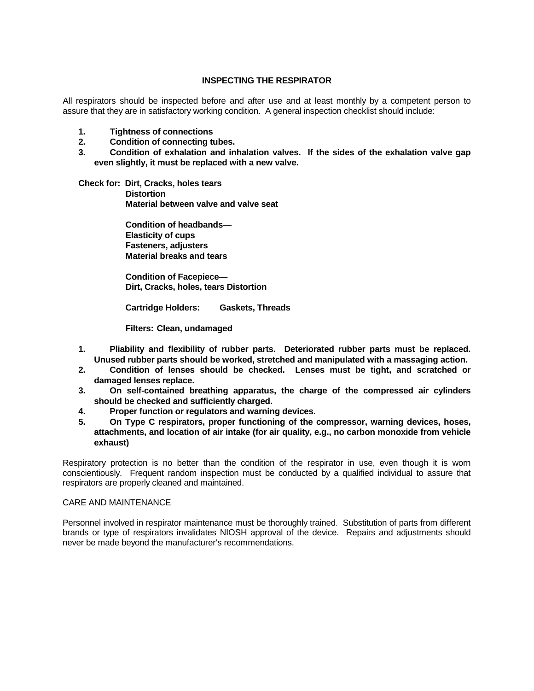#### **INSPECTING THE RESPIRATOR**

All respirators should be inspected before and after use and at least monthly by a competent person to assure that they are in satisfactory working condition. A general inspection checklist should include:

- **1. Tightness of connections**
- **2. Condition of connecting tubes.**
- **3. Condition of exhalation and inhalation valves. If the sides of the exhalation valve gap even slightly, it must be replaced with a new valve.**
- **Check for: Dirt, Cracks, holes tears Distortion Material between valve and valve seat**

**Condition of headbands— Elasticity of cups Fasteners, adjusters Material breaks and tears**

**Condition of Facepiece— Dirt, Cracks, holes, tears Distortion**

**Cartridge Holders: Gaskets, Threads**

**Filters: Clean, undamaged**

- **1. Pliability and flexibility of rubber parts. Deteriorated rubber parts must be replaced. Unused rubber parts should be worked, stretched and manipulated with a massaging action.**
- **2. Condition of lenses should be checked. Lenses must be tight, and scratched or damaged lenses replace.**
- **3. On self-contained breathing apparatus, the charge of the compressed air cylinders should be checked and sufficiently charged.**
- **4. Proper function or regulators and warning devices.**
- **5. On Type C respirators, proper functioning of the compressor, warning devices, hoses, attachments, and location of air intake (for air quality, e.g., no carbon monoxide from vehicle exhaust)**

Respiratory protection is no better than the condition of the respirator in use, even though it is worn conscientiously. Frequent random inspection must be conducted by a qualified individual to assure that respirators are properly cleaned and maintained.

#### CARE AND MAINTENANCE

Personnel involved in respirator maintenance must be thoroughly trained. Substitution of parts from different brands or type of respirators invalidates NIOSH approval of the device. Repairs and adjustments should never be made beyond the manufacturer's recommendations.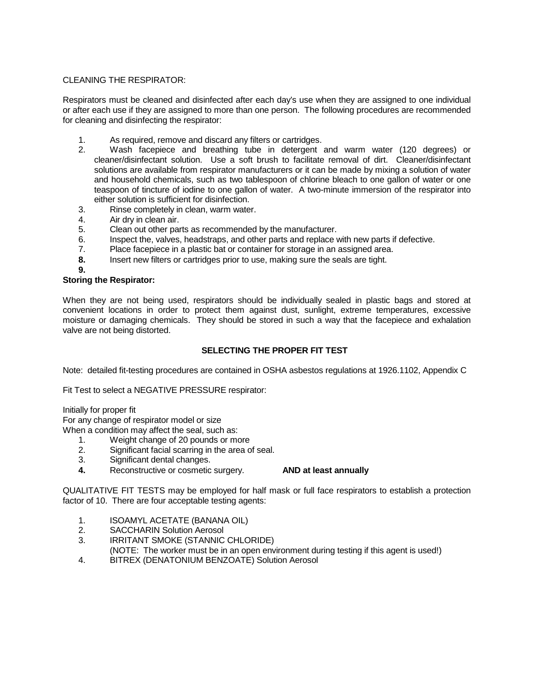#### CLEANING THE RESPIRATOR:

Respirators must be cleaned and disinfected after each day's use when they are assigned to one individual or after each use if they are assigned to more than one person. The following procedures are recommended for cleaning and disinfecting the respirator:

- 1. As required, remove and discard any filters or cartridges.
- 2. Wash facepiece and breathing tube in detergent and warm water (120 degrees) or cleaner/disinfectant solution. Use a soft brush to facilitate removal of dirt. Cleaner/disinfectant solutions are available from respirator manufacturers or it can be made by mixing a solution of water and household chemicals, such as two tablespoon of chlorine bleach to one gallon of water or one teaspoon of tincture of iodine to one gallon of water. A two-minute immersion of the respirator into either solution is sufficient for disinfection.
- 3. Rinse completely in clean, warm water.
- 
- 4. Air dry in clean air.<br>5. Clean out other pai Clean out other parts as recommended by the manufacturer.
- 6. Inspect the, valves, headstraps, and other parts and replace with new parts if defective.
- 7. Place facepiece in a plastic bat or container for storage in an assigned area.
- **8.** Insert new filters or cartridges prior to use, making sure the seals are tight.
- **9.**

#### **Storing the Respirator:**

When they are not being used, respirators should be individually sealed in plastic bags and stored at convenient locations in order to protect them against dust, sunlight, extreme temperatures, excessive moisture or damaging chemicals. They should be stored in such a way that the facepiece and exhalation valve are not being distorted.

#### **SELECTING THE PROPER FIT TEST**

Note: detailed fit-testing procedures are contained in OSHA asbestos regulations at 1926.1102, Appendix C

Fit Test to select a NEGATIVE PRESSURE respirator:

Initially for proper fit

For any change of respirator model or size

When a condition may affect the seal, such as:

- 1. Weight change of 20 pounds or more
- 2. Significant facial scarring in the area of seal.<br>3. Significant dental changes.
- Significant dental changes.
- **4.** Reconstructive or cosmetic surgery. **AND at least annually**

QUALITATIVE FIT TESTS may be employed for half mask or full face respirators to establish a protection factor of 10. There are four acceptable testing agents:

- 1. ISOAMYL ACETATE (BANANA OIL)
- 2. SACCHARIN Solution Aerosol
- 3. IRRITANT SMOKE (STANNIC CHLORIDE)
- (NOTE: The worker must be in an open environment during testing if this agent is used!)
- 4. BITREX (DENATONIUM BENZOATE) Solution Aerosol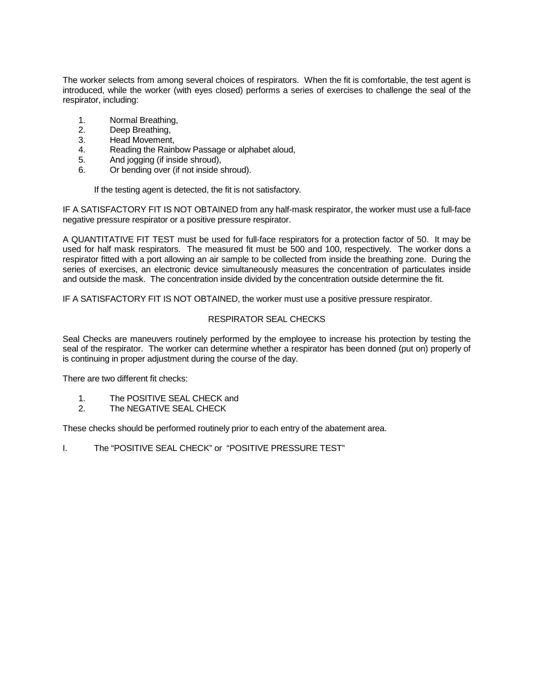The worker selects from among several choices of respirators. When the fit is comfortable, the test agent is introduced, while the worker (with eyes closed) performs a series of exercises to challenge the seal of the respirator, including:

- 1. Normal Breathing,<br>2. Deep Breathing.
- 2. Deep Breathing,<br>3. Head Movement
- Head Movement,
- 4. Reading the Rainbow Passage or alphabet aloud,
- 5. And jogging (if inside shroud),<br>6. Or bending over (if not inside s
- 6. Or bending over (if not inside shroud).

If the testing agent is detected, the fit is not satisfactory.

IF A SATISFACTORY FIT IS NOT OBTAINED from any half-mask respirator, the worker must use a full-face negative pressure respirator or a positive pressure respirator.

A QUANTITATIVE FIT TEST must be used for full-face respirators for a protection factor of 50. It may be used for half mask respirators. The measured fit must be 500 and 100, respectively. The worker dons a respirator fitted with a port allowing an air sample to be collected from inside the breathing zone. During the series of exercises, an electronic device simultaneously measures the concentration of particulates inside and outside the mask. The concentration inside divided by the concentration outside determine the fit.

IF A SATISFACTORY FIT IS NOT OBTAINED, the worker must use a positive pressure respirator.

#### RESPIRATOR SEAL CHECKS

Seal Checks are maneuvers routinely performed by the employee to increase his protection by testing the seal of the respirator. The worker can determine whether a respirator has been donned (put on) properly of is continuing in proper adjustment during the course of the day.

There are two different fit checks:

- 1. The POSITIVE SEAL CHECK and
- 2. The NEGATIVE SEAL CHECK

These checks should be performed routinely prior to each entry of the abatement area.

I. The "POSITIVE SEAL CHECK" or "POSITIVE PRESSURE TEST"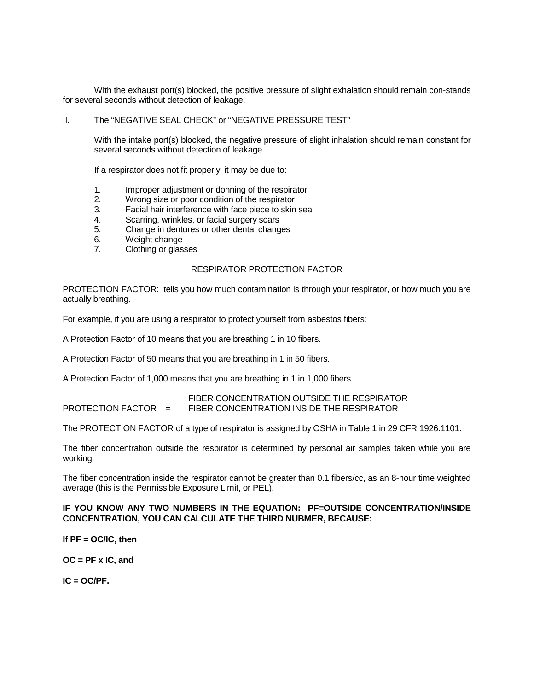With the exhaust port(s) blocked, the positive pressure of slight exhalation should remain con-stands for several seconds without detection of leakage.

#### II. The "NEGATIVE SEAL CHECK" or "NEGATIVE PRESSURE TEST"

With the intake port(s) blocked, the negative pressure of slight inhalation should remain constant for several seconds without detection of leakage.

If a respirator does not fit properly, it may be due to:

- 1. Improper adjustment or donning of the respirator
- 2. Wrong size or poor condition of the respirator
- 3. Facial hair interference with face piece to skin seal
- 4. Scarring, wrinkles, or facial surgery scars<br>5. Change in dentures or other dental change
- 5. Change in dentures or other dental changes
- 6. Weight change
- 7. Clothing or glasses

#### RESPIRATOR PROTECTION FACTOR

PROTECTION FACTOR: tells you how much contamination is through your respirator, or how much you are actually breathing.

For example, if you are using a respirator to protect yourself from asbestos fibers:

A Protection Factor of 10 means that you are breathing 1 in 10 fibers.

A Protection Factor of 50 means that you are breathing in 1 in 50 fibers.

A Protection Factor of 1,000 means that you are breathing in 1 in 1,000 fibers.

#### FIBER CONCENTRATION OUTSIDE THE RESPIRATOR PROTECTION FACTOR = FIBER CONCENTRATION INSIDE THE RESPIRATOR

The PROTECTION FACTOR of a type of respirator is assigned by OSHA in Table 1 in 29 CFR 1926.1101.

The fiber concentration outside the respirator is determined by personal air samples taken while you are working.

The fiber concentration inside the respirator cannot be greater than 0.1 fibers/cc, as an 8-hour time weighted average (this is the Permissible Exposure Limit, or PEL).

#### **IF YOU KNOW ANY TWO NUMBERS IN THE EQUATION: PF=OUTSIDE CONCENTRATION/INSIDE CONCENTRATION, YOU CAN CALCULATE THE THIRD NUBMER, BECAUSE:**

#### **If PF = OC/IC, then**

**OC = PF x IC, and**

**IC = OC/PF.**